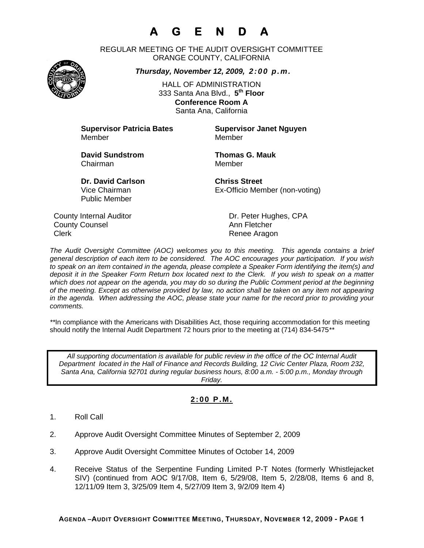# **A G E N D A**

REGULAR MEETING OF THE AUDIT OVERSIGHT COMMITTEE ORANGE COUNTY, CALIFORNIA

*Thursday, November 12, 2009, 2:00 p.m.*

HALL OF ADMINISTRATION 333 Santa Ana Blvd., **5th Floor Conference Room A**  Santa Ana, California

**Supervisor Patricia Bates Supervisor Janet Nguyen** Member Member

**David Sundstrom Thomas G. Mauk**  Chairman Member

**Dr. David Carlson Chriss Street** Public Member

Vice Chairman Ex-Officio Member (non-voting)

County Internal Auditor County Internal Auditor Dr. Peter Hughes, CPA **County Counsel Countillist County Counsel Ann Fletcher** Clerk **Clerk Renee Aragon** 

*The Audit Oversight Committee (AOC) welcomes you to this meeting. This agenda contains a brief general description of each item to be considered. The AOC encourages your participation. If you wish to speak on an item contained in the agenda, please complete a Speaker Form identifying the item(s) and deposit it in the Speaker Form Return box located next to the Clerk. If you wish to speak on a matter which does not appear on the agenda, you may do so during the Public Comment period at the beginning of the meeting. Except as otherwise provided by law, no action shall be taken on any item not appearing in the agenda. When addressing the AOC, please state your name for the record prior to providing your comments.* 

*\*\**In compliance with the Americans with Disabilities Act, those requiring accommodation for this meeting should notify the Internal Audit Department 72 hours prior to the meeting at (714) 834-5475*\*\** 

*All supporting documentation is available for public review in the office of the OC Internal Audit Department located in the Hall of Finance and Records Building, 12 Civic Center Plaza, Room 232, Santa Ana, California 92701 during regular business hours, 8:00 a.m. - 5:00 p.m., Monday through Friday.* 

### **2:00 P.M.**

- 1. Roll Call
- 2. Approve Audit Oversight Committee Minutes of September 2, 2009
- 3. Approve Audit Oversight Committee Minutes of October 14, 2009
- 4. Receive Status of the Serpentine Funding Limited P-T Notes (formerly Whistlejacket SIV) (continued from AOC 9/17/08, Item 6, 5/29/08, Item 5, 2/28/08, Items 6 and 8, 12/11/09 Item 3, 3/25/09 Item 4, 5/27/09 Item 3, 9/2/09 Item 4)